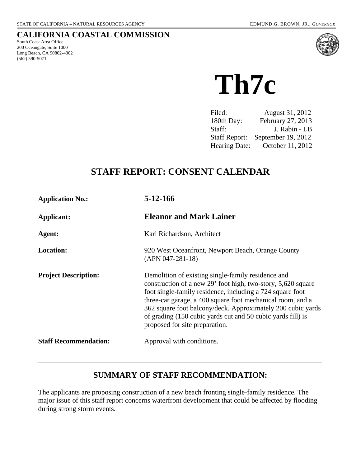### **CALIFORNIA COASTAL COMMISSION**

South Coast Area Office 200 Oceangate, Suite 1000 Long Beach, CA 90802-4302 (562) 590-5071



 **Th7c** 

| Filed:               | August 31, 2012    |
|----------------------|--------------------|
| 180th Day:           | February 27, 2013  |
| Staff:               | J. Rabin - LB      |
| <b>Staff Report:</b> | September 19, 2012 |
| Hearing Date:        | October 11, 2012   |

# **STAFF REPORT: CONSENT CALENDAR**

| <b>Application No.:</b>      | 5-12-166                                                                                                                                                                                                                                                                                                                                                                                                      |
|------------------------------|---------------------------------------------------------------------------------------------------------------------------------------------------------------------------------------------------------------------------------------------------------------------------------------------------------------------------------------------------------------------------------------------------------------|
| Applicant:                   | <b>Eleanor and Mark Lainer</b>                                                                                                                                                                                                                                                                                                                                                                                |
| Agent:                       | Kari Richardson, Architect                                                                                                                                                                                                                                                                                                                                                                                    |
| <b>Location:</b>             | 920 West Oceanfront, Newport Beach, Orange County<br>$(APN 047-281-18)$                                                                                                                                                                                                                                                                                                                                       |
| <b>Project Description:</b>  | Demolition of existing single-family residence and<br>construction of a new 29' foot high, two-story, 5,620 square<br>foot single-family residence, including a 724 square foot<br>three-car garage, a 400 square foot mechanical room, and a<br>362 square foot balcony/deck. Approximately 200 cubic yards<br>of grading (150 cubic yards cut and 50 cubic yards fill) is<br>proposed for site preparation. |
| <b>Staff Recommendation:</b> | Approval with conditions.                                                                                                                                                                                                                                                                                                                                                                                     |

# **SUMMARY OF STAFF RECOMMENDATION:**

The applicants are proposing construction of a new beach fronting single-family residence. The major issue of this staff report concerns waterfront development that could be affected by flooding during strong storm events.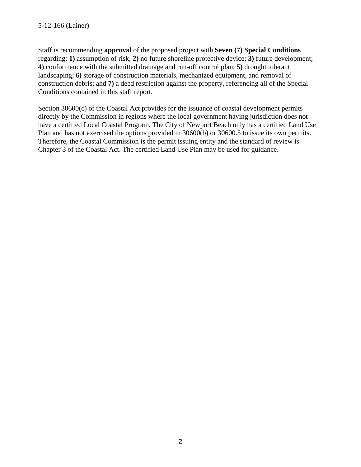Staff is recommending **approval** of the proposed project with **Seven (7) Special Conditions** regarding: **1)** assumption of risk; **2)** no future shoreline protective device; **3)** future development; **4)** conformance with the submitted drainage and run-off control plan; **5)** drought tolerant landscaping; **6)** storage of construction materials, mechanized equipment, and removal of construction debris; and **7)** a deed restriction against the property, referencing all of the Special Conditions contained in this staff report.

Section 30600(c) of the Coastal Act provides for the issuance of coastal development permits directly by the Commission in regions where the local government having jurisdiction does not have a certified Local Coastal Program. The City of Newport Beach only has a certified Land Use Plan and has not exercised the options provided in 30600(b) or 30600.5 to issue its own permits. Therefore, the Coastal Commission is the permit issuing entity and the standard of review is Chapter 3 of the Coastal Act. The certified Land Use Plan may be used for guidance.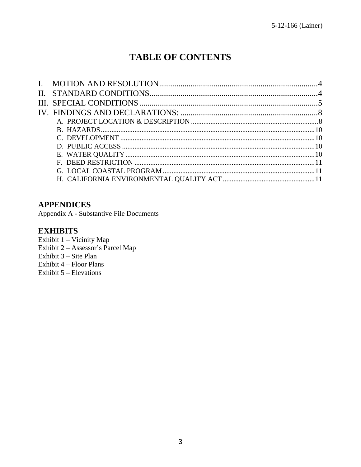# **TABLE OF CONTENTS**

### **APPENDICES**

Appendix A - Substantive File Documents

# **EXHIBITS**

Exhibit 1 - Vicinity Map Exhibit  $2 -$  Assessor's Parcel Map Exhibit 3 – Site Plan Exhibit 4 – Floor Plans Exhibit  $5$  – Elevations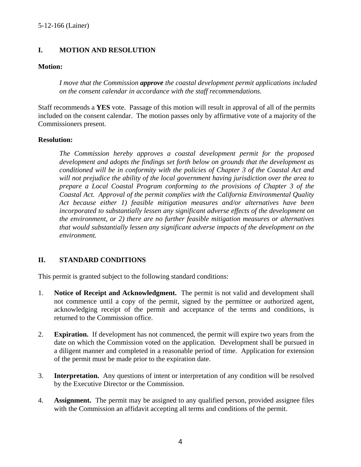### <span id="page-3-0"></span>**I. MOTION AND RESOLUTION**

#### **Motion:**

*I move that the Commission approve the coastal development permit applications included on the consent calendar in accordance with the staff recommendations.*

Staff recommends a **YES** vote. Passage of this motion will result in approval of all of the permits included on the consent calendar. The motion passes only by affirmative vote of a majority of the Commissioners present.

#### **Resolution:**

*The Commission hereby approves a coastal development permit for the proposed development and adopts the findings set forth below on grounds that the development as conditioned will be in conformity with the policies of Chapter 3 of the Coastal Act and will not prejudice the ability of the local government having jurisdiction over the area to prepare a Local Coastal Program conforming to the provisions of Chapter 3 of the Coastal Act. Approval of the permit complies with the California Environmental Quality Act because either 1) feasible mitigation measures and/or alternatives have been incorporated to substantially lessen any significant adverse effects of the development on the environment, or 2) there are no further feasible mitigation measures or alternatives that would substantially lessen any significant adverse impacts of the development on the environment.* 

#### <span id="page-3-1"></span>**II. STANDARD CONDITIONS**

This permit is granted subject to the following standard conditions:

- 1. **Notice of Receipt and Acknowledgment.** The permit is not valid and development shall not commence until a copy of the permit, signed by the permittee or authorized agent, acknowledging receipt of the permit and acceptance of the terms and conditions, is returned to the Commission office.
- 2. **Expiration.** If development has not commenced, the permit will expire two years from the date on which the Commission voted on the application. Development shall be pursued in a diligent manner and completed in a reasonable period of time. Application for extension of the permit must be made prior to the expiration date.
- 3. **Interpretation.** Any questions of intent or interpretation of any condition will be resolved by the Executive Director or the Commission.
- 4. **Assignment.** The permit may be assigned to any qualified person, provided assignee files with the Commission an affidavit accepting all terms and conditions of the permit.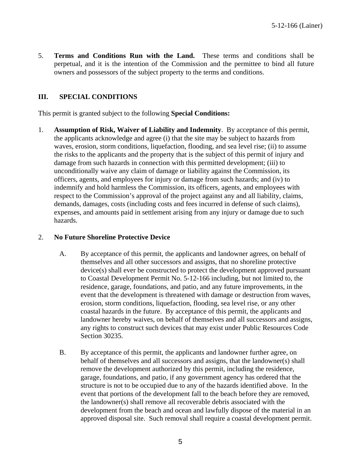5. **Terms and Conditions Run with the Land.** These terms and conditions shall be perpetual, and it is the intention of the Commission and the permittee to bind all future owners and possessors of the subject property to the terms and conditions.

### <span id="page-4-0"></span>**III. SPECIAL CONDITIONS**

This permit is granted subject to the following **Special Conditions:**

1. **Assumption of Risk, Waiver of Liability and Indemnity**.By acceptance of this permit, the applicants acknowledge and agree (i) that the site may be subject to hazards from waves, erosion, storm conditions, liquefaction, flooding, and sea level rise; (ii) to assume the risks to the applicants and the property that is the subject of this permit of injury and damage from such hazards in connection with this permitted development; (iii) to unconditionally waive any claim of damage or liability against the Commission, its officers, agents, and employees for injury or damage from such hazards; and (iv) to indemnify and hold harmless the Commission, its officers, agents, and employees with respect to the Commission's approval of the project against any and all liability, claims, demands, damages, costs (including costs and fees incurred in defense of such claims), expenses, and amounts paid in settlement arising from any injury or damage due to such hazards.

#### 2. **No Future Shoreline Protective Device**

- A. By acceptance of this permit, the applicants and landowner agrees, on behalf of themselves and all other successors and assigns, that no shoreline protective device(s) shall ever be constructed to protect the development approved pursuant to Coastal Development Permit No. 5-12-166 including, but not limited to, the residence, garage, foundations, and patio, and any future improvements, in the event that the development is threatened with damage or destruction from waves, erosion, storm conditions, liquefaction, flooding, sea level rise, or any other coastal hazards in the future. By acceptance of this permit, the applicants and landowner hereby waives, on behalf of themselves and all successors and assigns, any rights to construct such devices that may exist under Public Resources Code Section 30235.
- B. By acceptance of this permit, the applicants and landowner further agree, on behalf of themselves and all successors and assigns, that the landowner(s) shall remove the development authorized by this permit, including the residence, garage, foundations, and patio, if any government agency has ordered that the structure is not to be occupied due to any of the hazards identified above. In the event that portions of the development fall to the beach before they are removed, the landowner(s) shall remove all recoverable debris associated with the development from the beach and ocean and lawfully dispose of the material in an approved disposal site. Such removal shall require a coastal development permit.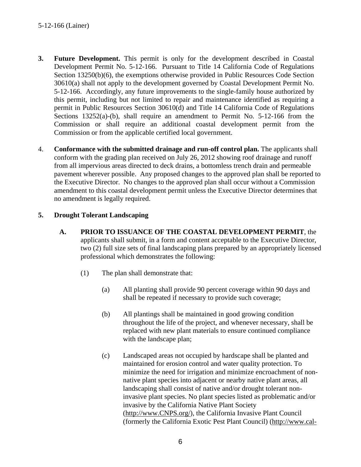- **3. Future Development.** This permit is only for the development described in Coastal Development Permit No. 5-12-166. Pursuant to Title 14 California Code of Regulations Section 13250(b)(6), the exemptions otherwise provided in Public Resources Code Section 30610(a) shall not apply to the development governed by Coastal Development Permit No. 5-12-166. Accordingly, any future improvements to the single-family house authorized by this permit, including but not limited to repair and maintenance identified as requiring a permit in Public Resources Section 30610(d) and Title 14 California Code of Regulations Sections 13252(a)-(b), shall require an amendment to Permit No. 5-12-166 from the Commission or shall require an additional coastal development permit from the Commission or from the applicable certified local government.
- 4. **Conformance with the submitted drainage and run-off control plan.** The applicants shall conform with the grading plan received on July 26, 2012 showing roof drainage and runoff from all impervious areas directed to deck drains, a bottomless trench drain and permeable pavement wherever possible. Any proposed changes to the approved plan shall be reported to the Executive Director. No changes to the approved plan shall occur without a Commission amendment to this coastal development permit unless the Executive Director determines that no amendment is legally required.

### **5. Drought Tolerant Landscaping**

- **A. PRIOR TO ISSUANCE OF THE COASTAL DEVELOPMENT PERMIT**, the applicants shall submit, in a form and content acceptable to the Executive Director, two (2) full size sets of final landscaping plans prepared by an appropriately licensed professional which demonstrates the following:
	- (1) The plan shall demonstrate that:
		- (a) All planting shall provide 90 percent coverage within 90 days and shall be repeated if necessary to provide such coverage;
		- (b) All plantings shall be maintained in good growing condition throughout the life of the project, and whenever necessary, shall be replaced with new plant materials to ensure continued compliance with the landscape plan;
		- (c) Landscaped areas not occupied by hardscape shall be planted and maintained for erosion control and water quality protection. To minimize the need for irrigation and minimize encroachment of nonnative plant species into adjacent or nearby native plant areas, all landscaping shall consist of native and/or drought tolerant noninvasive plant species. No plant species listed as problematic and/or invasive by the California Native Plant Society ([http://www.CNPS.org/\)](http://www.cnps.org/), the California Invasive Plant Council (formerly the California Exotic Pest Plant Council) [\(http://www.cal-](http://www.cal-ipc.org/)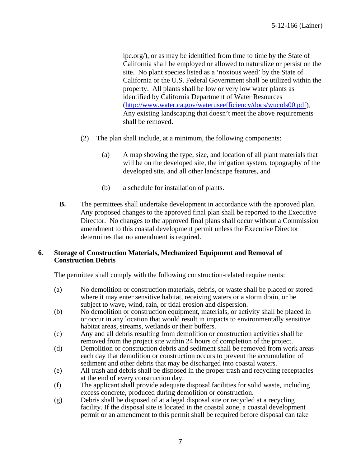ipc.org/), or as may be identified from time to time by the State of California shall be employed or allowed to naturalize or persist on the site. No plant species listed as a 'noxious weed' by the State of California or the U.S. Federal Government shall be utilized within the property. All plants shall be low or very low water plants as identified by California Department of Water Resources ([http://www.water.ca.gov/wateruseefficiency/docs/wucols00.pdf\)](http://www.water.ca.gov/wateruseefficiency/docs/wucols00.pdf). Any existing landscaping that doesn't meet the above requirements shall be removed**.** 

- (2) The plan shall include, at a minimum, the following components:
	- (a) A map showing the type, size, and location of all plant materials that will be on the developed site, the irrigation system, topography of the developed site, and all other landscape features, and
	- (b) a schedule for installation of plants.
- **B.** The permittees shall undertake development in accordance with the approved plan. Any proposed changes to the approved final plan shall be reported to the Executive Director. No changes to the approved final plans shall occur without a Commission amendment to this coastal development permit unless the Executive Director determines that no amendment is required.

#### **6. Storage of Construction Materials, Mechanized Equipment and Removal of Construction Debris**

The permittee shall comply with the following construction-related requirements:

- (a) No demolition or construction materials, debris, or waste shall be placed or stored where it may enter sensitive habitat, receiving waters or a storm drain, or be subject to wave, wind, rain, or tidal erosion and dispersion.
- (b) No demolition or construction equipment, materials, or activity shall be placed in or occur in any location that would result in impacts to environmentally sensitive habitat areas, streams, wetlands or their buffers.
- (c) Any and all debris resulting from demolition or construction activities shall be removed from the project site within 24 hours of completion of the project.
- (d) Demolition or construction debris and sediment shall be removed from work areas each day that demolition or construction occurs to prevent the accumulation of sediment and other debris that may be discharged into coastal waters.
- (e) All trash and debris shall be disposed in the proper trash and recycling receptacles at the end of every construction day.
- (f) The applicant shall provide adequate disposal facilities for solid waste, including excess concrete, produced during demolition or construction.
- (g) Debris shall be disposed of at a legal disposal site or recycled at a recycling facility. If the disposal site is located in the coastal zone, a coastal development permit or an amendment to this permit shall be required before disposal can take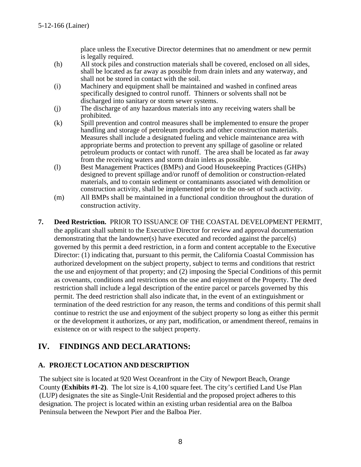place unless the Executive Director determines that no amendment or new permit is legally required.

- (h) All stock piles and construction materials shall be covered, enclosed on all sides, shall be located as far away as possible from drain inlets and any waterway, and shall not be stored in contact with the soil.
- (i) Machinery and equipment shall be maintained and washed in confined areas specifically designed to control runoff. Thinners or solvents shall not be discharged into sanitary or storm sewer systems.
- (j) The discharge of any hazardous materials into any receiving waters shall be prohibited.
- (k) Spill prevention and control measures shall be implemented to ensure the proper handling and storage of petroleum products and other construction materials. Measures shall include a designated fueling and vehicle maintenance area with appropriate berms and protection to prevent any spillage of gasoline or related petroleum products or contact with runoff. The area shall be located as far away from the receiving waters and storm drain inlets as possible.
- (l) Best Management Practices (BMPs) and Good Housekeeping Practices (GHPs) designed to prevent spillage and/or runoff of demolition or construction-related materials, and to contain sediment or contaminants associated with demolition or construction activity, shall be implemented prior to the on-set of such activity.
- (m) All BMPs shall be maintained in a functional condition throughout the duration of construction activity.
- **7. Deed Restriction.** PRIOR TO ISSUANCE OF THE COASTAL DEVELOPMENT PERMIT, the applicant shall submit to the Executive Director for review and approval documentation demonstrating that the landowner(s) have executed and recorded against the parcel(s) governed by this permit a deed restriction, in a form and content acceptable to the Executive Director: (1) indicating that, pursuant to this permit, the California Coastal Commission has authorized development on the subject property, subject to terms and conditions that restrict the use and enjoyment of that property; and (2) imposing the Special Conditions of this permit as covenants, conditions and restrictions on the use and enjoyment of the Property. The deed restriction shall include a legal description of the entire parcel or parcels governed by this permit. The deed restriction shall also indicate that, in the event of an extinguishment or termination of the deed restriction for any reason, the terms and conditions of this permit shall continue to restrict the use and enjoyment of the subject property so long as either this permit or the development it authorizes, or any part, modification, or amendment thereof, remains in existence on or with respect to the subject property.

# <span id="page-7-0"></span>**IV. FINDINGS AND DECLARATIONS:**

### <span id="page-7-1"></span>**A. PROJECT LOCATION AND DESCRIPTION**

The subject site is located at 920 West Oceanfront in the City of Newport Beach, Orange County **(Exhibits #1-2)**. The lot size is 4,100 square feet. The city's certified Land Use Plan (LUP) designates the site as Single-Unit Residential and the proposed project adheres to this designation. The project is located within an existing urban residential area on the Balboa Peninsula between the Newport Pier and the Balboa Pier.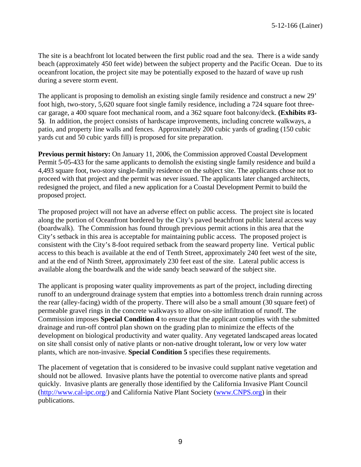The site is a beachfront lot located between the first public road and the sea. There is a wide sandy beach (approximately 450 feet wide) between the subject property and the Pacific Ocean. Due to its oceanfront location, the project site may be potentially exposed to the hazard of wave up rush during a severe storm event.

The applicant is proposing to demolish an existing single family residence and construct a new 29' foot high, two-story, 5,620 square foot single family residence, including a 724 square foot threecar garage, a 400 square foot mechanical room, and a 362 square foot balcony/deck. **(Exhibits #3- 5)**. In addition, the project consists of hardscape improvements, including concrete walkways, a patio, and property line walls and fences. Approximately 200 cubic yards of grading (150 cubic yards cut and 50 cubic yards fill) is proposed for site preparation.

**Previous permit history:** On January 11, 2006, the Commission approved Coastal Development Permit 5-05-433 for the same applicants to demolish the existing single family residence and build a 4,493 square foot, two-story single-family residence on the subject site. The applicants chose not to proceed with that project and the permit was never issued. The applicants later changed architects, redesigned the project, and filed a new application for a Coastal Development Permit to build the proposed project.

The proposed project will not have an adverse effect on public access. The project site is located along the portion of Oceanfront bordered by the City's paved beachfront public lateral access way (boardwalk). The Commission has found through previous permit actions in this area that the City's setback in this area is acceptable for maintaining public access. The proposed project is consistent with the City's 8-foot required setback from the seaward property line. Vertical public access to this beach is available at the end of Tenth Street, approximately 240 feet west of the site, and at the end of Ninth Street, approximately 230 feet east of the site. Lateral public access is available along the boardwalk and the wide sandy beach seaward of the subject site.

The applicant is proposing water quality improvements as part of the project, including directing runoff to an underground drainage system that empties into a bottomless trench drain running across the rear (alley-facing) width of the property. There will also be a small amount (30 square feet) of permeable gravel rings in the concrete walkways to allow on-site infiltration of runoff. The Commission imposes **Special Condition 4** to ensure that the applicant complies with the submitted drainage and run-off control plan shown on the grading plan to minimize the effects of the development on biological productivity and water quality. Any vegetated landscaped areas located on site shall consist only of native plants or non-native drought tolerant**,** low or very low water plants, which are non-invasive. **Special Condition 5** specifies these requirements.

The placement of vegetation that is considered to be invasive could supplant native vegetation and should not be allowed. Invasive plants have the potential to overcome native plants and spread quickly. Invasive plants are generally those identified by the California Invasive Plant Council ([http://www.cal-ipc.org/\)](http://www.cal-ipc.org/) and California Native Plant Society ([www.CNPS.org](http://www.cnps.org/)) in their publications.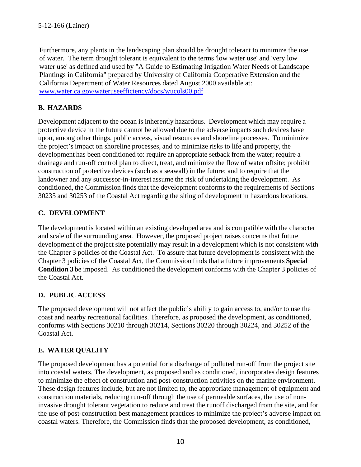Furthermore, any plants in the landscaping plan should be drought tolerant to minimize the use of water. The term drought tolerant is equivalent to the terms 'low water use' and 'very low water use' as defined and used by "A Guide to Estimating Irrigation Water Needs of Landscape Plantings in California" prepared by University of California Cooperative Extension and the California Department of Water Resources dated August 2000 available at: [www.water.ca.gov/wateruseefficiency/docs/wucols00.pdf](http://www.water.ca.gov/wateruseefficiency/docs/wucols00.pdf)

# <span id="page-9-0"></span>**B. HAZARDS**

Development adjacent to the ocean is inherently hazardous. Development which may require a protective device in the future cannot be allowed due to the adverse impacts such devices have upon, among other things, public access, visual resources and shoreline processes. To minimize the project's impact on shoreline processes, and to minimize risks to life and property, the development has been conditioned to: require an appropriate setback from the water; require a drainage and run-off control plan to direct, treat, and minimize the flow of water offsite; prohibit construction of protective devices (such as a seawall) in the future; and to require that the landowner and any successor-in-interest assume the risk of undertaking the development. As conditioned, the Commission finds that the development conforms to the requirements of Sections 30235 and 30253 of the Coastal Act regarding the siting of development in hazardous locations.

# <span id="page-9-1"></span>**C. DEVELOPMENT**

The development is located within an existing developed area and is compatible with the character and scale of the surrounding area. However, the proposed project raises concerns that future development of the project site potentially may result in a development which is not consistent with the Chapter 3 policies of the Coastal Act. To assure that future development is consistent with the Chapter 3 policies of the Coastal Act, the Commission finds that a future improvements **Special Condition 3** be imposed. As conditioned the development conforms with the Chapter 3 policies of the Coastal Act.

### <span id="page-9-2"></span>**D. PUBLIC ACCESS**

The proposed development will not affect the public's ability to gain access to, and/or to use the coast and nearby recreational facilities. Therefore, as proposed the development, as conditioned, conforms with Sections 30210 through 30214, Sections 30220 through 30224, and 30252 of the Coastal Act.

# <span id="page-9-3"></span>**E. WATER QUALITY**

The proposed development has a potential for a discharge of polluted run-off from the project site into coastal waters. The development, as proposed and as conditioned, incorporates design features to minimize the effect of construction and post-construction activities on the marine environment. These design features include, but are not limited to, the appropriate management of equipment and construction materials, reducing run-off through the use of permeable surfaces, the use of noninvasive drought tolerant vegetation to reduce and treat the runoff discharged from the site, and for the use of post-construction best management practices to minimize the project's adverse impact on coastal waters. Therefore, the Commission finds that the proposed development, as conditioned,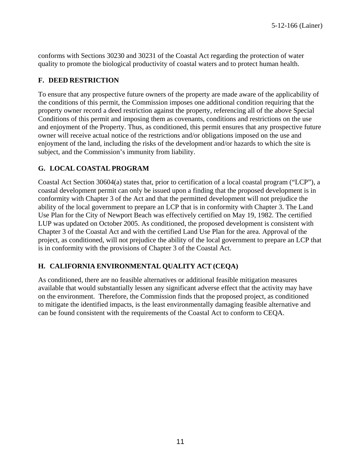conforms with Sections 30230 and 30231 of the Coastal Act regarding the protection of water quality to promote the biological productivity of coastal waters and to protect human health.

#### <span id="page-10-0"></span>**F. DEED RESTRICTION**

To ensure that any prospective future owners of the property are made aware of the applicability of the conditions of this permit, the Commission imposes one additional condition requiring that the property owner record a deed restriction against the property, referencing all of the above Special Conditions of this permit and imposing them as covenants, conditions and restrictions on the use and enjoyment of the Property. Thus, as conditioned, this permit ensures that any prospective future owner will receive actual notice of the restrictions and/or obligations imposed on the use and enjoyment of the land, including the risks of the development and/or hazards to which the site is subject, and the Commission's immunity from liability.

### <span id="page-10-1"></span>**G. LOCAL COASTAL PROGRAM**

Coastal Act Section 30604(a) states that, prior to certification of a local coastal program ("LCP"), a coastal development permit can only be issued upon a finding that the proposed development is in conformity with Chapter 3 of the Act and that the permitted development will not prejudice the ability of the local government to prepare an LCP that is in conformity with Chapter 3. The Land Use Plan for the City of Newport Beach was effectively certified on May 19, 1982. The certified LUP was updated on October 2005. As conditioned, the proposed development is consistent with Chapter 3 of the Coastal Act and with the certified Land Use Plan for the area. Approval of the project, as conditioned, will not prejudice the ability of the local government to prepare an LCP that is in conformity with the provisions of Chapter 3 of the Coastal Act.

### <span id="page-10-2"></span>**H. CALIFORNIA ENVIRONMENTAL QUALITY ACT (CEQA)**

As conditioned, there are no feasible alternatives or additional feasible mitigation measures available that would substantially lessen any significant adverse effect that the activity may have on the environment. Therefore, the Commission finds that the proposed project, as conditioned to mitigate the identified impacts, is the least environmentally damaging feasible alternative and can be found consistent with the requirements of the Coastal Act to conform to CEQA.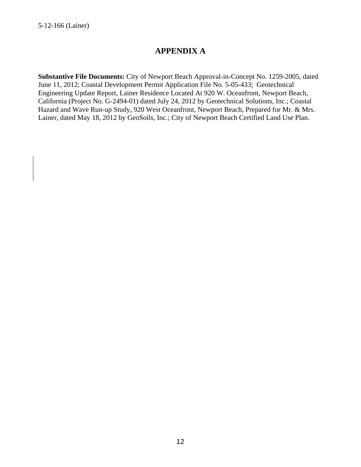# **APPENDIX A**

**Substantive File Documents:** City of Newport Beach Approval-in-Concept No. 1259-2005, dated June 11, 2012; Coastal Development Permit Application File No. 5-05-433; Geotechnical Engineering Update Report, Lainer Residence Located At 920 W. Oceanfront, Newport Beach, California (Project No. G-2494-01) dated July 24, 2012 by Geotechnical Solutions, Inc.; Coastal Hazard and Wave Run-up Study, 920 West Oceanfront, Newport Beach, Prepared for Mr. & Mrs. Lainer, dated May 18, 2012 by GeoSoils, Inc.; City of Newport Beach Certified Land Use Plan.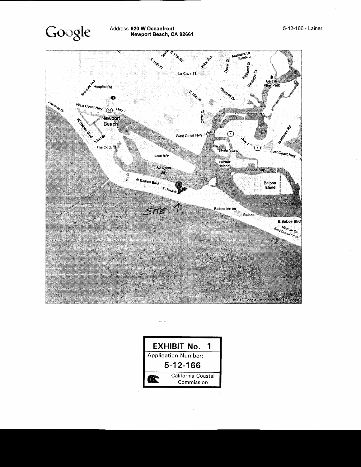



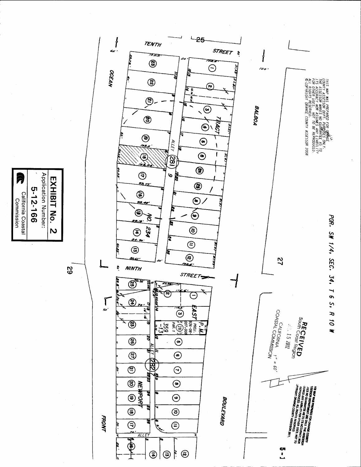62



Application Number: EXHIBIT No. 5-12-166 California Coastal Commission  $\boldsymbol{\mathsf{N}}$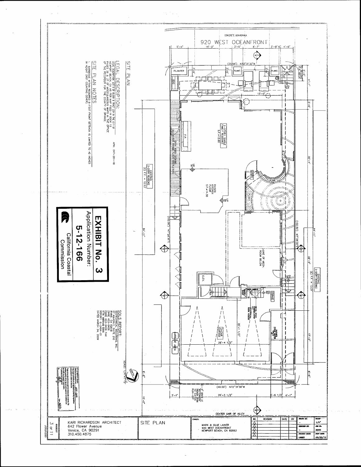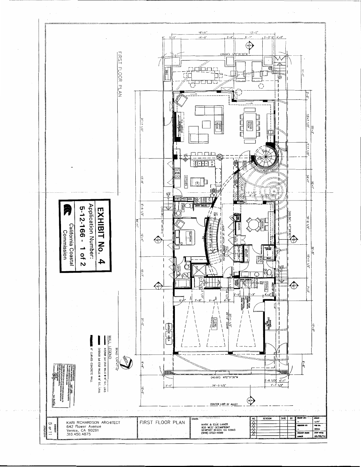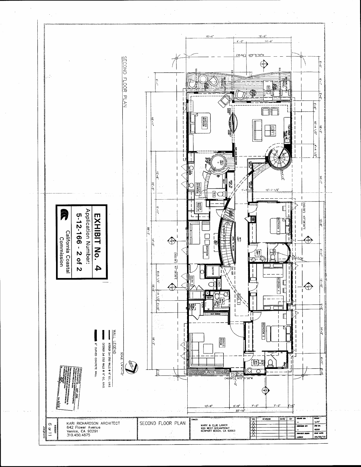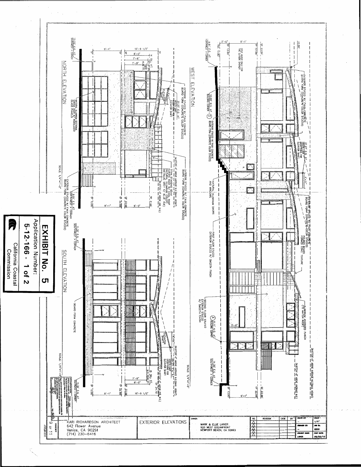